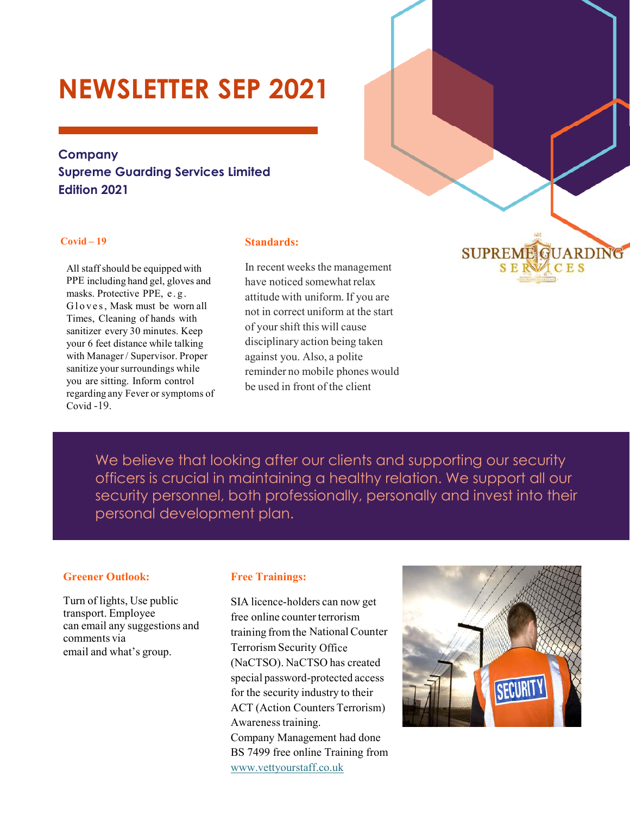# **NEWSLETTER SEP 2021**

### **Company Supreme Guarding Services Limited Edition 2021**

#### **Covid – 19**

All staff should be equipped with PPE including hand gel, gloves and masks. Protective PPE, e . g . Gloves, Mask must be worn all Times, Cleaning of hands with sanitizer every 30 minutes. Keep your 6 feet distance while talking with Manager / Supervisor. Proper sanitize your surroundings while you are sitting. Inform control regarding any Fever or symptoms of Covid -19.

#### **Standards:**

In recent weeks the management have noticed somewhat relax attitude with uniform. If you are not in correct uniform at the start of your shift this will cause disciplinary action being taken against you. Also, a polite reminder no mobile phones would be used in front of the client

We believe that looking after our clients and supporting our security officers is crucial in maintaining a healthy relation. We support all our security personnel, both professionally, personally and invest into their personal development plan.

#### **Greener Outlook:**

Turn of lights, Use public transport. Employee can email any suggestions and comments via email and what's group.

#### **Free Trainings:**

SIA licence-holders can now get free online counter terrorism training from the National Counter Terrorism Security Office (NaCTSO). NaCTSO has created special password-protected access for the security industry to their ACT (Action Counters Terrorism) Awareness training. Company Management had done BS 7499 free online Training from www.vettyourstaff.co.uk



**SUPREME GUARDING SERVICES**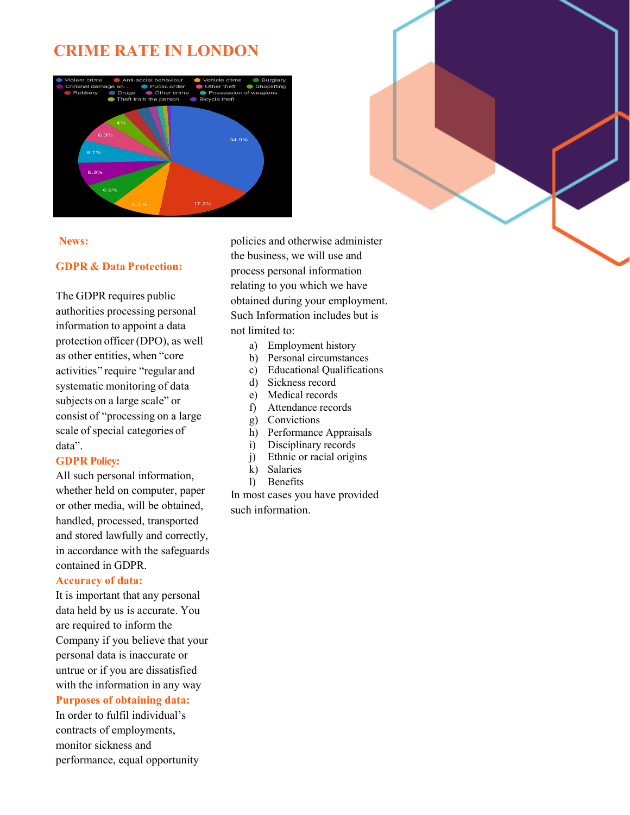## **CRIME RATE IN LONDON**





#### **News:**

#### **GDPR & Data Protection:**

The GDPR requires public authorities processing personal information to appoint a data protection officer (DPO), as well as other entities, when "core activities" require "regular and systematic monitoring of data subjects on a large scale" or consist of "processing on a large scale of special categories of data".

#### **GDPR Policy:**

All such personal information, whether held on computer, paper or other media, will be obtained, handled, processed, transported and stored lawfully and correctly, in accordance with the safeguards contained in GDPR.

#### **Accuracy of data:**

It is important that any personal data held by us is accurate. You are required to inform the Company if you believe that your personal data is inaccurate or untrue or if you are dissatisfied with the information in any way **Purposes of obtaining data:** 

In order to fulfil individual's contracts of employments, monitor sickness and performance, equal opportunity policies and otherwise administer the business, we will use and process personal information relating to you which we have obtained during your employment. Such Information includes but is not limited to:

- a) Employment history
- b) Personal circumstances
- c) Educational Qualifications
- d) Sickness record
- e) Medical records
- f) Attendance records
- g) Convictions
- h) Performance Appraisals
- i) Disciplinary records
- j) Ethnic or racial origins
- k) Salaries
- l) Benefits

In most cases you have provided such information.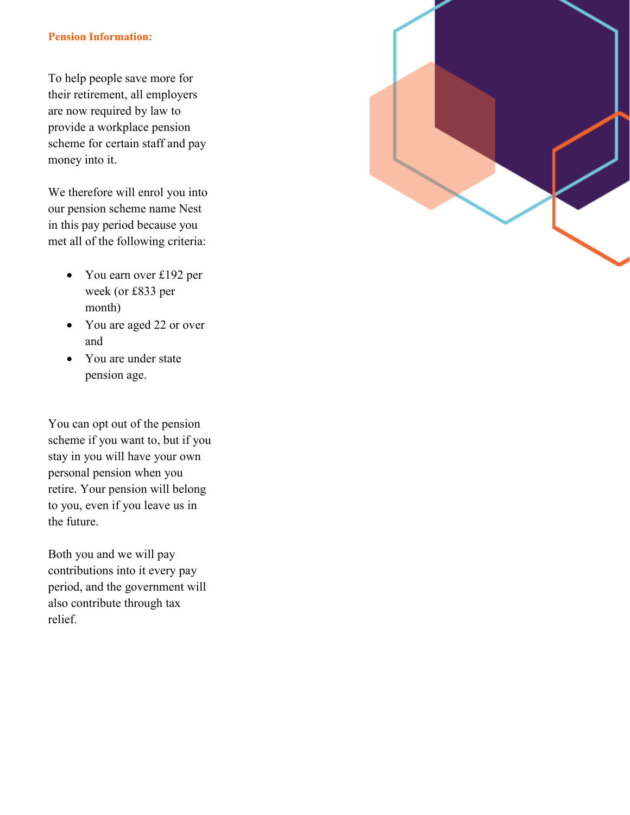#### **Pension Information:**

To help people save more for their retirement, all employers are now required by law to provide a workplace pension scheme for certain staff and pay money into it.

We therefore will enrol you into our pension scheme name Nest in this pay period because you met all of the following criteria:

- You earn over £192 per week (or £833 per month)
- You are aged 22 or over and
- You are under state pension age.

You can opt out of the pension scheme if you want to, but if you stay in you will have your own personal pension when you retire. Your pension will belong to you, even if you leave us in the future.

Both you and we will pay contributions into it every pay period, and the government will also contribute through tax relief.

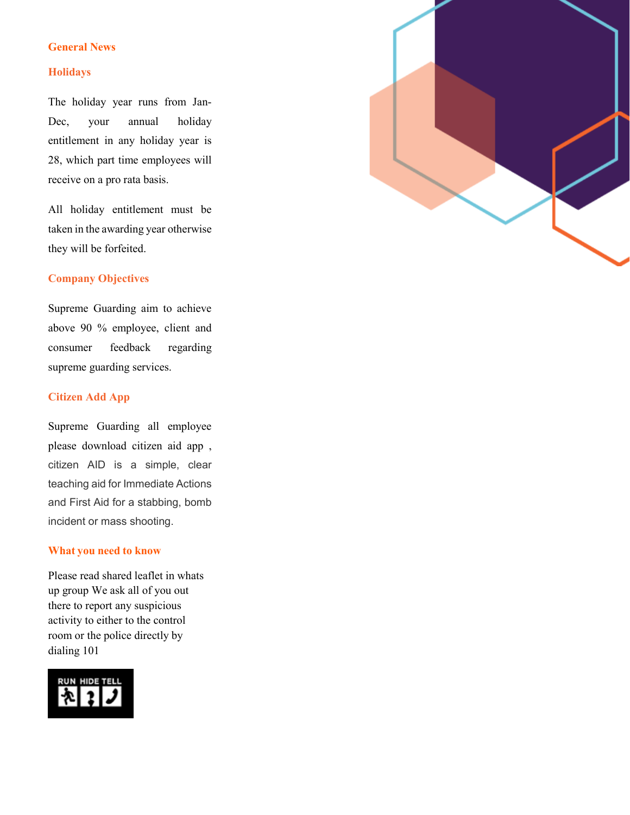#### **General News**

#### **Holidays**

The holiday year runs from Jan-Dec, your annual holiday entitlement in any holiday year is 28, which part time employees will receive on a pro rata basis.

All holiday entitlement must be taken in the awarding year otherwise they will be forfeited.

#### **Company Objectives**

Supreme Guarding aim to achieve above 90 % employee, client and consumer feedback regarding supreme guarding services.

#### **Citizen Add App**

Supreme Guarding all employee please download citizen aid app , citizen AID is a simple, clear teaching aid for Immediate Actions and First Aid for a stabbing, bomb incident or mass shooting.

#### **What you need to know**

Please read shared leaflet in whats up group We ask all of you out there to report any suspicious activity to either to the control room or the police directly by dialing 101